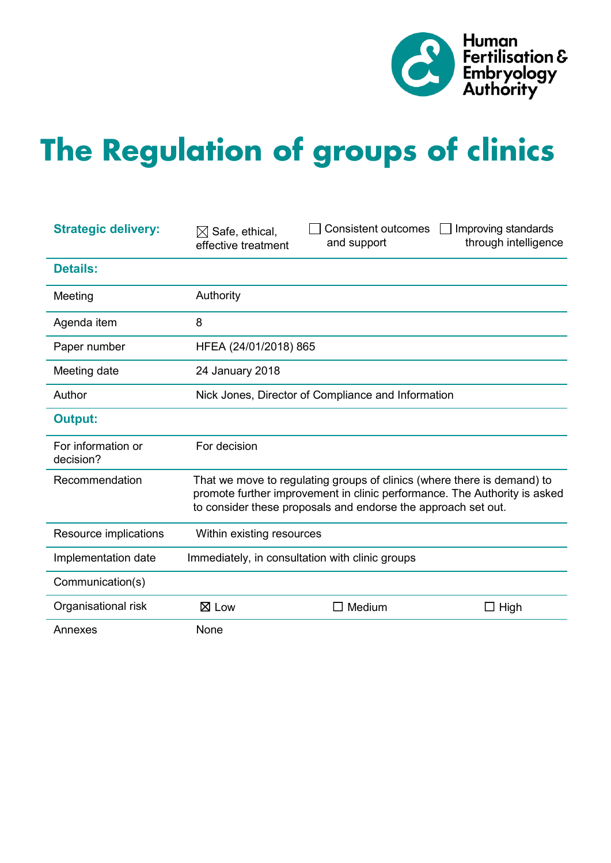

# **The Regulation of groups of clinics**

| <b>Strategic delivery:</b>      | $\boxtimes$ Safe, ethical,<br>effective treatment                                                                                                                                                                     | <b>Consistent outcomes</b><br>and support       | Improving standards<br>through intelligence |
|---------------------------------|-----------------------------------------------------------------------------------------------------------------------------------------------------------------------------------------------------------------------|-------------------------------------------------|---------------------------------------------|
| <b>Details:</b>                 |                                                                                                                                                                                                                       |                                                 |                                             |
| Meeting                         | Authority                                                                                                                                                                                                             |                                                 |                                             |
| Agenda item                     | 8                                                                                                                                                                                                                     |                                                 |                                             |
| Paper number                    | HFEA (24/01/2018) 865                                                                                                                                                                                                 |                                                 |                                             |
| Meeting date                    | 24 January 2018                                                                                                                                                                                                       |                                                 |                                             |
| Author                          | Nick Jones, Director of Compliance and Information                                                                                                                                                                    |                                                 |                                             |
| <b>Output:</b>                  |                                                                                                                                                                                                                       |                                                 |                                             |
| For information or<br>decision? | For decision                                                                                                                                                                                                          |                                                 |                                             |
| Recommendation                  | That we move to regulating groups of clinics (where there is demand) to<br>promote further improvement in clinic performance. The Authority is asked<br>to consider these proposals and endorse the approach set out. |                                                 |                                             |
| Resource implications           | Within existing resources                                                                                                                                                                                             |                                                 |                                             |
| Implementation date             |                                                                                                                                                                                                                       | Immediately, in consultation with clinic groups |                                             |
| Communication(s)                |                                                                                                                                                                                                                       |                                                 |                                             |
| Organisational risk             | $\boxtimes$ Low                                                                                                                                                                                                       | Medium                                          | $\Box$ High                                 |
| Annexes                         | None                                                                                                                                                                                                                  |                                                 |                                             |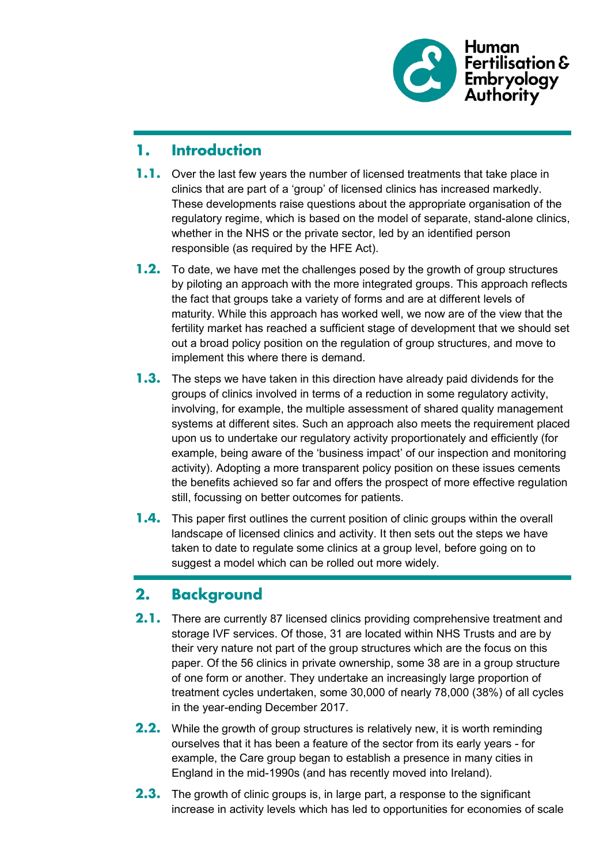

#### **1. Introduction**

- **1.1.** Over the last few years the number of licensed treatments that take place in clinics that are part of a 'group' of licensed clinics has increased markedly. These developments raise questions about the appropriate organisation of the regulatory regime, which is based on the model of separate, stand-alone clinics, whether in the NHS or the private sector, led by an identified person responsible (as required by the HFE Act).
- **1.2.** To date, we have met the challenges posed by the growth of group structures by piloting an approach with the more integrated groups. This approach reflects the fact that groups take a variety of forms and are at different levels of maturity. While this approach has worked well, we now are of the view that the fertility market has reached a sufficient stage of development that we should set out a broad policy position on the regulation of group structures, and move to implement this where there is demand.
- **1.3.** The steps we have taken in this direction have already paid dividends for the groups of clinics involved in terms of a reduction in some regulatory activity, involving, for example, the multiple assessment of shared quality management systems at different sites. Such an approach also meets the requirement placed upon us to undertake our regulatory activity proportionately and efficiently (for example, being aware of the 'business impact' of our inspection and monitoring activity). Adopting a more transparent policy position on these issues cements the benefits achieved so far and offers the prospect of more effective regulation still, focussing on better outcomes for patients.
- **1.4.** This paper first outlines the current position of clinic groups within the overall landscape of licensed clinics and activity. It then sets out the steps we have taken to date to regulate some clinics at a group level, before going on to suggest a model which can be rolled out more widely.

## **2. Background**

- **2.1.** There are currently 87 licensed clinics providing comprehensive treatment and storage IVF services. Of those, 31 are located within NHS Trusts and are by their very nature not part of the group structures which are the focus on this paper. Of the 56 clinics in private ownership, some 38 are in a group structure of one form or another. They undertake an increasingly large proportion of treatment cycles undertaken, some 30,000 of nearly 78,000 (38%) of all cycles in the year-ending December 2017.
- **2.2.** While the growth of group structures is relatively new, it is worth reminding ourselves that it has been a feature of the sector from its early years - for example, the Care group began to establish a presence in many cities in England in the mid-1990s (and has recently moved into Ireland).
- **2.3.** The growth of clinic groups is, in large part, a response to the significant increase in activity levels which has led to opportunities for economies of scale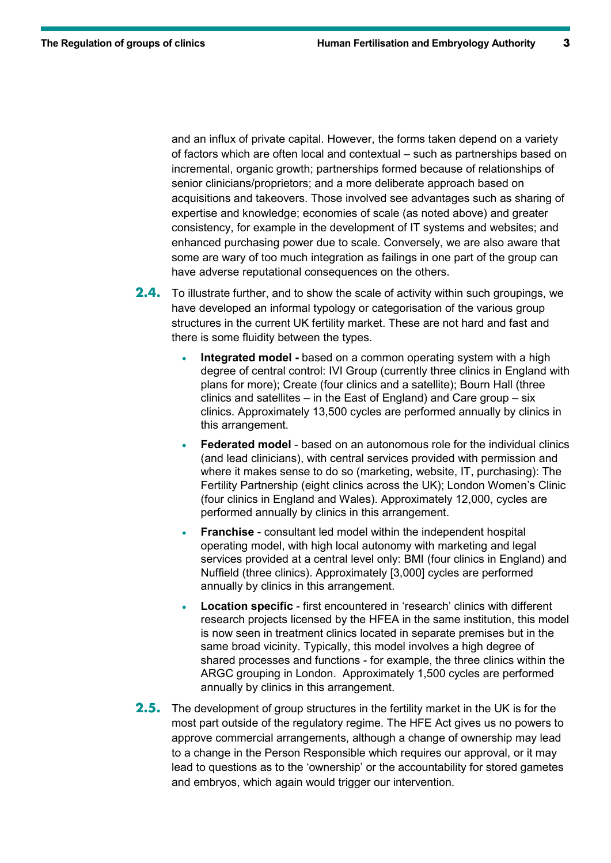and an influx of private capital. However, the forms taken depend on a variety of factors which are often local and contextual – such as partnerships based on incremental, organic growth; partnerships formed because of relationships of senior clinicians/proprietors; and a more deliberate approach based on acquisitions and takeovers. Those involved see advantages such as sharing of expertise and knowledge; economies of scale (as noted above) and greater consistency, for example in the development of IT systems and websites; and enhanced purchasing power due to scale. Conversely, we are also aware that some are wary of too much integration as failings in one part of the group can have adverse reputational consequences on the others.

- **2.4.** To illustrate further, and to show the scale of activity within such groupings, we have developed an informal typology or categorisation of the various group structures in the current UK fertility market. These are not hard and fast and there is some fluidity between the types.
	- **Integrated model -** based on a common operating system with a high degree of central control: IVI Group (currently three clinics in England with plans for more); Create (four clinics and a satellite); Bourn Hall (three clinics and satellites – in the East of England) and Care group – six clinics. Approximately 13,500 cycles are performed annually by clinics in this arrangement.
	- **Federated model** based on an autonomous role for the individual clinics (and lead clinicians), with central services provided with permission and where it makes sense to do so (marketing, website, IT, purchasing): The Fertility Partnership (eight clinics across the UK); London Women's Clinic (four clinics in England and Wales). Approximately 12,000, cycles are performed annually by clinics in this arrangement.
	- **Franchise** consultant led model within the independent hospital operating model, with high local autonomy with marketing and legal services provided at a central level only: BMI (four clinics in England) and Nuffield (three clinics). Approximately [3,000] cycles are performed annually by clinics in this arrangement.
	- **Location specific** first encountered in 'research' clinics with different research projects licensed by the HFEA in the same institution, this model is now seen in treatment clinics located in separate premises but in the same broad vicinity. Typically, this model involves a high degree of shared processes and functions - for example, the three clinics within the ARGC grouping in London. Approximately 1,500 cycles are performed annually by clinics in this arrangement.
- **2.5.** The development of group structures in the fertility market in the UK is for the most part outside of the regulatory regime. The HFE Act gives us no powers to approve commercial arrangements, although a change of ownership may lead to a change in the Person Responsible which requires our approval, or it may lead to questions as to the 'ownership' or the accountability for stored gametes and embryos, which again would trigger our intervention.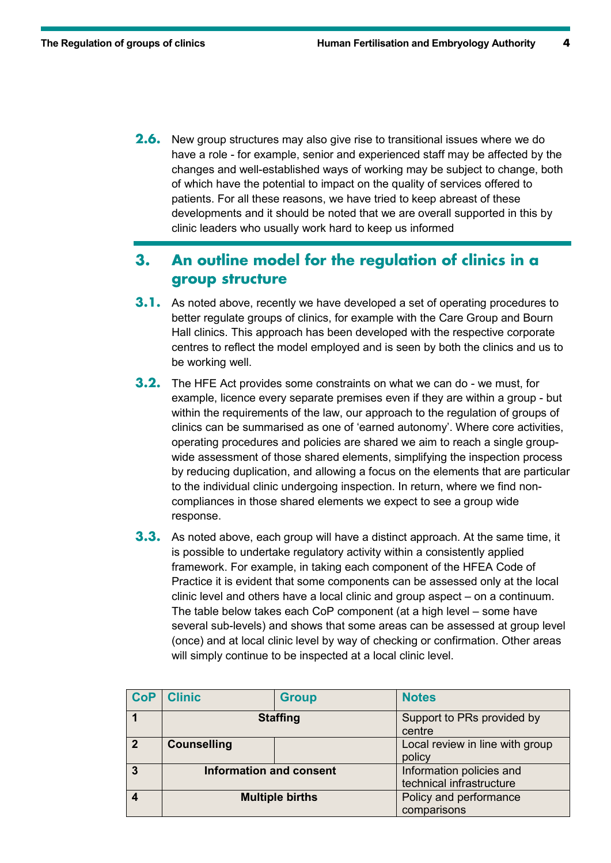**2.6.** New group structures may also give rise to transitional issues where we do have a role - for example, senior and experienced staff may be affected by the changes and well-established ways of working may be subject to change, both of which have the potential to impact on the quality of services offered to patients. For all these reasons, we have tried to keep abreast of these developments and it should be noted that we are overall supported in this by clinic leaders who usually work hard to keep us informed

### **3. An outline model for the regulation of clinics in a group structure**

- **3.1.** As noted above, recently we have developed a set of operating procedures to better regulate groups of clinics, for example with the Care Group and Bourn Hall clinics. This approach has been developed with the respective corporate centres to reflect the model employed and is seen by both the clinics and us to be working well.
- **3.2.** The HFE Act provides some constraints on what we can do we must, for example, licence every separate premises even if they are within a group - but within the requirements of the law, our approach to the regulation of groups of clinics can be summarised as one of 'earned autonomy'. Where core activities, operating procedures and policies are shared we aim to reach a single groupwide assessment of those shared elements, simplifying the inspection process by reducing duplication, and allowing a focus on the elements that are particular to the individual clinic undergoing inspection. In return, where we find noncompliances in those shared elements we expect to see a group wide response.
- **3.3.** As noted above, each group will have a distinct approach. At the same time, it is possible to undertake regulatory activity within a consistently applied framework. For example, in taking each component of the HFEA Code of Practice it is evident that some components can be assessed only at the local clinic level and others have a local clinic and group aspect – on a continuum. The table below takes each CoP component (at a high level – some have several sub-levels) and shows that some areas can be assessed at group level (once) and at local clinic level by way of checking or confirmation. Other areas will simply continue to be inspected at a local clinic level.

| <b>CoP</b> | <b>Clinic</b>                  | <b>Group</b> | <b>Notes</b>                                         |
|------------|--------------------------------|--------------|------------------------------------------------------|
|            | <b>Staffing</b>                |              | Support to PRs provided by<br>centre                 |
| 2          | <b>Counselling</b>             |              | Local review in line with group<br>policy            |
|            | <b>Information and consent</b> |              | Information policies and<br>technical infrastructure |
|            | <b>Multiple births</b>         |              | Policy and performance<br>comparisons                |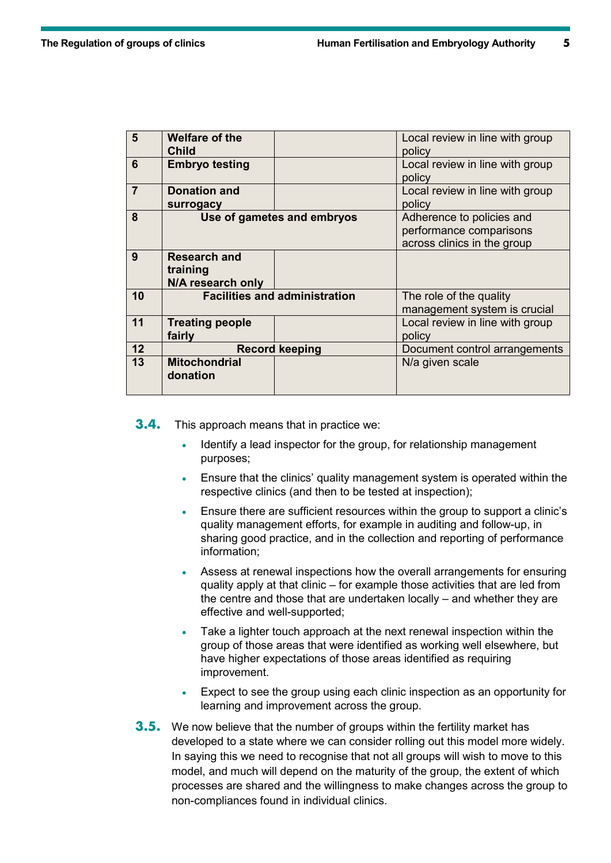| 5              | <b>Welfare of the</b><br><b>Child</b>                |                                      | Local review in line with group<br>policy                                           |
|----------------|------------------------------------------------------|--------------------------------------|-------------------------------------------------------------------------------------|
| 6              | <b>Embryo testing</b>                                |                                      | Local review in line with group<br>policy                                           |
| $\overline{7}$ | <b>Donation and</b><br>surrogacy                     |                                      | Local review in line with group<br>policy                                           |
| 8              |                                                      | Use of gametes and embryos           | Adherence to policies and<br>performance comparisons<br>across clinics in the group |
| 9              | <b>Research and</b><br>training<br>N/A research only |                                      |                                                                                     |
| 10             |                                                      | <b>Facilities and administration</b> | The role of the quality<br>management system is crucial                             |
| 11             | <b>Treating people</b><br>fairly                     |                                      | Local review in line with group<br>policy                                           |
| 12             |                                                      | <b>Record keeping</b>                | Document control arrangements                                                       |
| 13             | <b>Mitochondrial</b><br>donation                     |                                      | N/a given scale                                                                     |

**3.4.** This approach means that in practice we:

- Identify a lead inspector for the group, for relationship management purposes;
- Ensure that the clinics' quality management system is operated within the respective clinics (and then to be tested at inspection);
- Ensure there are sufficient resources within the group to support a clinic's quality management efforts, for example in auditing and follow-up, in sharing good practice, and in the collection and reporting of performance information;
- Assess at renewal inspections how the overall arrangements for ensuring quality apply at that clinic – for example those activities that are led from the centre and those that are undertaken locally – and whether they are effective and well-supported;
- Take a lighter touch approach at the next renewal inspection within the group of those areas that were identified as working well elsewhere, but have higher expectations of those areas identified as requiring improvement.
- Expect to see the group using each clinic inspection as an opportunity for learning and improvement across the group.
- **3.5.** We now believe that the number of groups within the fertility market has developed to a state where we can consider rolling out this model more widely. In saying this we need to recognise that not all groups will wish to move to this model, and much will depend on the maturity of the group, the extent of which processes are shared and the willingness to make changes across the group to non-compliances found in individual clinics.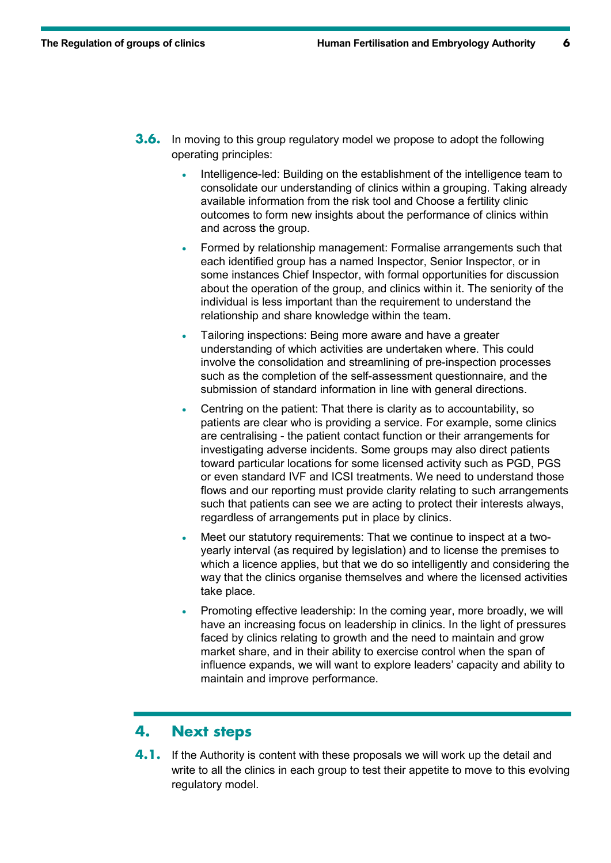- **3.6.** In moving to this group regulatory model we propose to adopt the following operating principles:
	- Intelligence-led: Building on the establishment of the intelligence team to consolidate our understanding of clinics within a grouping. Taking already available information from the risk tool and Choose a fertility clinic outcomes to form new insights about the performance of clinics within and across the group.
	- Formed by relationship management: Formalise arrangements such that each identified group has a named Inspector, Senior Inspector, or in some instances Chief Inspector, with formal opportunities for discussion about the operation of the group, and clinics within it. The seniority of the individual is less important than the requirement to understand the relationship and share knowledge within the team.
	- Tailoring inspections: Being more aware and have a greater understanding of which activities are undertaken where. This could involve the consolidation and streamlining of pre-inspection processes such as the completion of the self-assessment questionnaire, and the submission of standard information in line with general directions.
	- Centring on the patient: That there is clarity as to accountability, so patients are clear who is providing a service. For example, some clinics are centralising - the patient contact function or their arrangements for investigating adverse incidents. Some groups may also direct patients toward particular locations for some licensed activity such as PGD, PGS or even standard IVF and ICSI treatments. We need to understand those flows and our reporting must provide clarity relating to such arrangements such that patients can see we are acting to protect their interests always, regardless of arrangements put in place by clinics.
	- Meet our statutory requirements: That we continue to inspect at a twoyearly interval (as required by legislation) and to license the premises to which a licence applies, but that we do so intelligently and considering the way that the clinics organise themselves and where the licensed activities take place.
	- Promoting effective leadership: In the coming year, more broadly, we will have an increasing focus on leadership in clinics. In the light of pressures faced by clinics relating to growth and the need to maintain and grow market share, and in their ability to exercise control when the span of influence expands, we will want to explore leaders' capacity and ability to maintain and improve performance.

#### **4. Next steps**

**4.1.** If the Authority is content with these proposals we will work up the detail and write to all the clinics in each group to test their appetite to move to this evolving regulatory model.